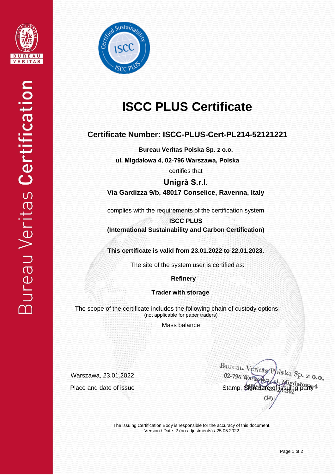



# **ISCC PLUS Certificate**

## **Certificate Number: ISCC-PLUS-Cert-PL214-52121221**

**Bureau Veritas Polska Sp. z o.o.**

**ul. Migdałowa 4, 02-796 Warszawa, Polska**

certifies that

**Unigrà S.r.l. Via Gardizza 9/b, 48017 Conselice, Ravenna, Italy**

complies with the requirements of the certification system

**ISCC PLUS (International Sustainability and Carbon Certification)**

**This certificate is valid from 23.01.2022 to 22.01.2023.**

The site of the system user is certified as:

 **Refinery**

**Trader with storage**

The scope of the certificate includes the following chain of custody options: (not applicable for paper traders)

Mass balance

Warszawa, 23.01.2022

Bureau Veritas Polska Sp. z 0.0 02-796 War Place and date of issue Stamp, Signature of issuing party

The issuing Certification Body is responsible for the accuracy of this document. Version / Date: 2 (no adjustments) / 25.05.2022